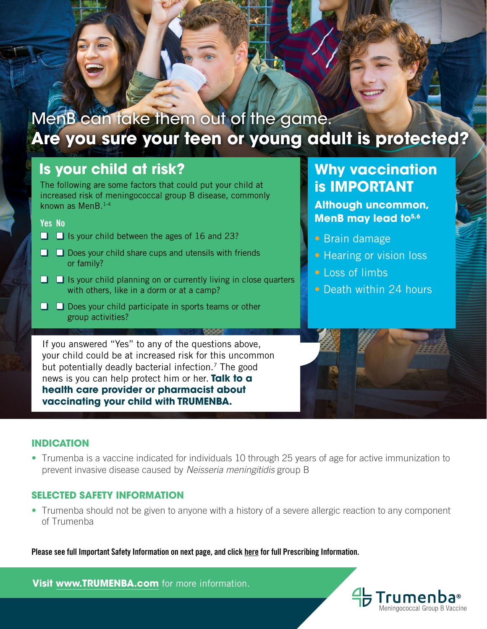

## **Are you sure your teen or young adult is protected?**

### **Is your child at risk?**

The following are some factors that could put your child at **The STANT IMPORTANT** increased risk of meningococcal group B disease, commonly known as MenB.1-4

Yes No

- □ □ Is your child between the ages of 16 and 23?
- □ □ Does your child share cups and utensils with friends or family?
- $\Box$   $\Box$  Is your child planning on or currently living in close quarters with others, like in a dorm or at a camp?
- □ □ Does your child participate in sports teams or other group activities?

If you answered "Yes" to any of the questions above, your child could be at increased risk for this uncommon but potentially deadly bacterial infection.<sup>7</sup> The good news is you can help protect him or her. **Talk to a health care provider or pharmacist about vaccinating your child with TRUMENBA.**

# **Why vaccination**

**Although uncommon, MenB may lead to5,6**

- Brain damage
- Hearing or vision loss
- Loss of limbs
- Death within 24 hours

Trumenba® Meningococcal Group B Vaccine

#### **INDICATION**

• Trumenba is a vaccine indicated for individuals 10 through 25 years of age for active immunization to prevent invasive disease caused by *Neisseria meningitidis* group B

#### **SELECTED SAFETY INFORMATION**

• Trumenba should not be given to anyone with a history of a severe allergic reaction to any component of Trumenba

Please see full Important Safety Information on next page, and clic[k here](http://labeling.pfizer.com/ShowLabeling.aspx?id=1796) for full Prescribing Information.

**Visit [www.TRUMENBA.com](http://www.TRUMENBA.com)** for more information.